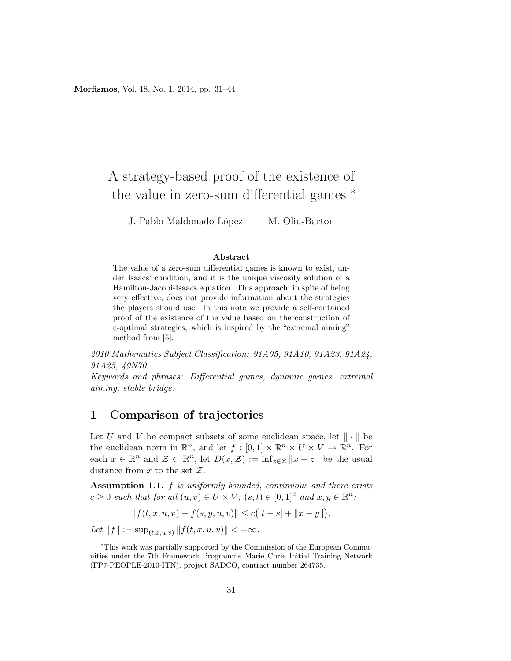# A strategy-based proof of the existence of the value in zero-sum differential games <sup>∗</sup>

J. Pablo Maldonado López M. Oliu-Barton

#### Abstract

The value of a zero-sum differential games is known to exist, under Isaacs' condition, and it is the unique viscosity solution of a Hamilton-Jacobi-Isaacs equation. This approach, in spite of being very effective, does not provide information about the strategies the players should use. In this note we provide a self-contained proof of the existence of the value based on the construction of  $\varepsilon$ -optimal strategies, which is inspired by the "extremal aiming" method from [5].

2010 Mathematics Subject Classification: 91A05, 91A10, 91A23, 91A24, 91A25, 49N70.

Keywords and phrases: Differential games, dynamic games, extremal aiming, stable bridge.

### 1 Comparison of trajectories

Let U and V be compact subsets of some euclidean space, let  $\|\cdot\|$  be the euclidean norm in  $\mathbb{R}^n$ , and let  $f : [0,1] \times \mathbb{R}^n \times U \times V \to \mathbb{R}^n$ . For each  $x \in \mathbb{R}^n$  and  $\mathcal{Z} \subset \mathbb{R}^n$ , let  $D(x, \mathcal{Z}) := \inf_{z \in \mathcal{Z}} ||x - z||$  be the usual distance from  $x$  to the set  $\mathcal{Z}$ .

Assumption 1.1.  $f$  is uniformly bounded, continuous and there exists  $c \geq 0$  such that for all  $(u, v) \in U \times V$ ,  $(s, t) \in [0, 1]^2$  and  $x, y \in \mathbb{R}^n$ .

$$
|| f(t, x, u, v) - f(s, y, u, v)|| \le c(|t - s| + ||x - y||).
$$

Let  $||f|| := \sup_{(t,x,u,v)} ||f(t,x,u,v)|| < +\infty$ .

<sup>∗</sup>This work was partially supported by the Commission of the European Communities under the 7th Framework Programme Marie Curie Initial Training Network (FP7-PEOPLE-2010-ITN), project SADCO, contract number 264735.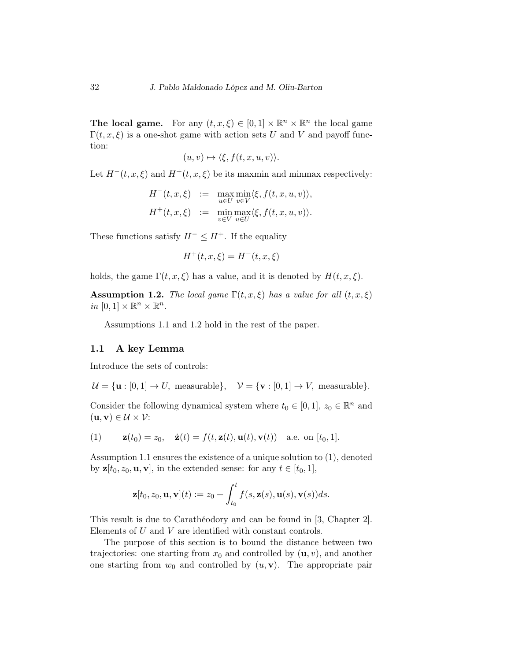The local game. For any  $(t, x, \xi) \in [0, 1] \times \mathbb{R}^n \times \mathbb{R}^n$  the local game  $\Gamma(t, x, \xi)$  is a one-shot game with action sets U and V and payoff function:

$$
(u,v)\mapsto \langle \xi, f(t,x,u,v)\rangle.
$$

Let  $H^-(t, x, \xi)$  and  $H^+(t, x, \xi)$  be its maxmin and minmax respectively:

$$
H^-(t, x, \xi) := \max_{u \in U} \min_{v \in V} \langle \xi, f(t, x, u, v) \rangle,
$$
  

$$
H^+(t, x, \xi) := \min_{v \in V} \max_{u \in U} \langle \xi, f(t, x, u, v) \rangle.
$$

These functions satisfy  $H^- \leq H^+$ . If the equality

$$
H^+(t, x, \xi) = H^-(t, x, \xi)
$$

holds, the game  $\Gamma(t, x, \xi)$  has a value, and it is denoted by  $H(t, x, \xi)$ .

**Assumption 1.2.** The local game  $\Gamma(t, x, \xi)$  has a value for all  $(t, x, \xi)$ in  $[0,1] \times \mathbb{R}^n \times \mathbb{R}^n$ .

Assumptions 1.1 and 1.2 hold in the rest of the paper.

### 1.1 A key Lemma

Introduce the sets of controls:

 $U = \{u : [0, 1] \rightarrow U$ , measurable $\}, \quad V = \{v : [0, 1] \rightarrow V$ , measurable $\}.$ 

Consider the following dynamical system where  $t_0 \in [0,1], z_0 \in \mathbb{R}^n$  and  $(\mathbf{u}, \mathbf{v}) \in \mathcal{U} \times \mathcal{V}$ :

(1) 
$$
\mathbf{z}(t_0) = z_0, \quad \dot{\mathbf{z}}(t) = f(t, \mathbf{z}(t), \mathbf{u}(t), \mathbf{v}(t)) \quad \text{a.e. on } [t_0, 1].
$$

Assumption 1.1 ensures the existence of a unique solution to (1), denoted by  $z[t_0, z_0, \mathbf{u}, \mathbf{v}]$ , in the extended sense: for any  $t \in [t_0, 1]$ ,

$$
\mathbf{z}[t_0, z_0, \mathbf{u}, \mathbf{v}](t) := z_0 + \int_{t_0}^t f(s, \mathbf{z}(s), \mathbf{u}(s), \mathbf{v}(s)) ds.
$$

This result is due to Carathéodory and can be found in [3, Chapter 2]. Elements of U and V are identified with constant controls.

The purpose of this section is to bound the distance between two trajectories: one starting from  $x_0$  and controlled by  $(\mathbf{u}, v)$ , and another one starting from  $w_0$  and controlled by  $(u, v)$ . The appropriate pair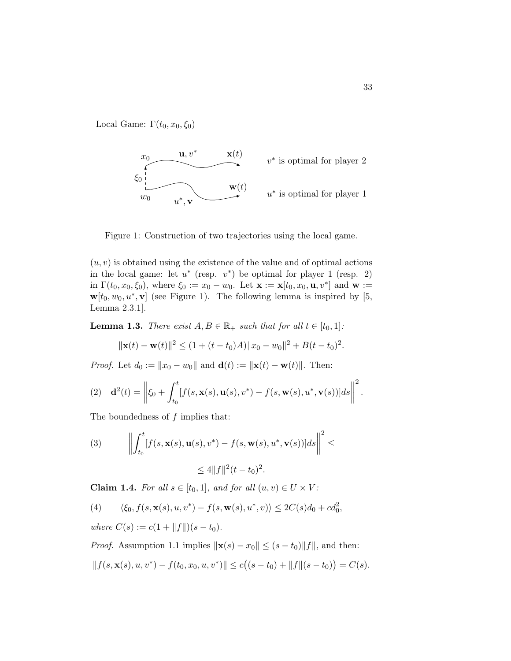Local Game:  $\Gamma(t_0, x_0, \xi_0)$ 



Figure 1: Construction of two trajectories using the local game.

 $(u, v)$  is obtained using the existence of the value and of optimal actions in the local game: let  $u^*$  (resp.  $v^*$ ) be optimal for player 1 (resp. 2) in  $\Gamma(t_0, x_0, \xi_0)$ , where  $\xi_0 := x_0 - w_0$ . Let  $\mathbf{x} := \mathbf{x}[t_0, x_0, \mathbf{u}, v^*]$  and  $\mathbf{w} :=$  $\mathbf{w}[t_0, w_0, u^*, \mathbf{v}]$  (see Figure 1). The following lemma is inspired by [5, Lemma 2.3.1].

**Lemma 1.3.** There exist  $A, B \in \mathbb{R}_+$  such that for all  $t \in [t_0, 1]$ :

$$
\|\mathbf{x}(t) - \mathbf{w}(t)\|^2 \le (1 + (t - t_0)A) \|x_0 - w_0\|^2 + B(t - t_0)^2.
$$

*Proof.* Let  $d_0 := ||x_0 - w_0||$  and  $\mathbf{d}(t) := ||\mathbf{x}(t) - \mathbf{w}(t)||$ . Then:

(2) 
$$
\mathbf{d}^2(t) = \left\| \xi_0 + \int_{t_0}^t [f(s, \mathbf{x}(s), \mathbf{u}(s), v^*) - f(s, \mathbf{w}(s), u^*, \mathbf{v}(s))] ds \right\|^2.
$$

The boundedness of  $f$  implies that:

(3) 
$$
\left\| \int_{t_0}^t [f(s, \mathbf{x}(s), \mathbf{u}(s), v^*) - f(s, \mathbf{w}(s), u^*, \mathbf{v}(s))] ds \right\|^2 \leq
$$

$$
\leq 4 \|f\|^2 (t - t_0)^2.
$$

Claim 1.4. For all  $s \in [t_0, 1]$ , and for all  $(u, v) \in U \times V$ :

(4) 
$$
\langle \xi_0, f(s, \mathbf{x}(s), u, v^*) - f(s, \mathbf{w}(s), u^*, v) \rangle \le 2C(s)d_0 + cd_0^2
$$

where  $C(s) := c(1 + ||f||)(s - t_0).$ 

*Proof.* Assumption 1.1 implies  $\|\mathbf{x}(s) - x_0\| \leq (s - t_0)\|f\|$ , and then:  $||f(s, \mathbf{x}(s), u, v^*) - f(t_0, x_0, u, v^*)|| \le c((s - t_0) + ||f||(s - t_0)) = C(s).$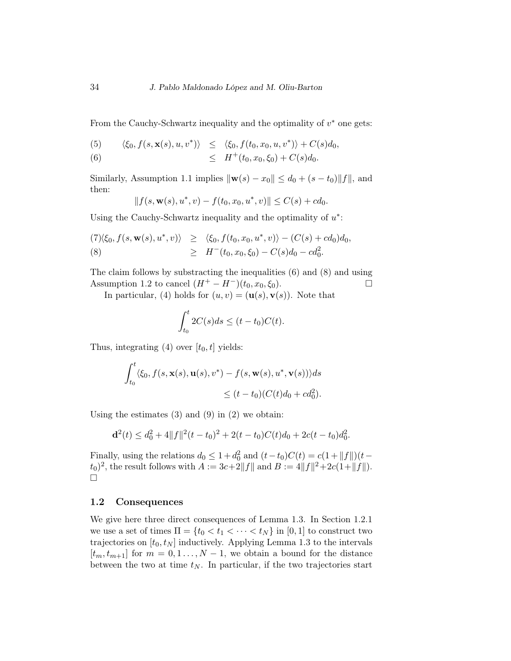From the Cauchy-Schwartz inequality and the optimality of  $v^*$  one gets:

(5) 
$$
\langle \xi_0, f(s, \mathbf{x}(s), u, v^*) \rangle \leq \langle \xi_0, f(t_0, x_0, u, v^*) \rangle + C(s) d_0,
$$

(6) 
$$
\leq H^+(t_0,x_0,\xi_0) + C(s)d_0.
$$

Similarly, Assumption 1.1 implies  $\|\mathbf{w}(s) - x_0\| \le d_0 + (s - t_0)\|f\|$ , and then:

$$
|| f(s, \mathbf{w}(s), u^*, v) - f(t_0, x_0, u^*, v)|| \le C(s) + cd_0.
$$

Using the Cauchy-Schwartz inequality and the optimality of  $u^*$ :

(7)
$$
\langle \xi_0, f(s, \mathbf{w}(s), u^*, v) \rangle \ge \langle \xi_0, f(t_0, x_0, u^*, v) \rangle - (C(s) + cd_0) d_0,
$$
  
(8) $\ge H^-(t_0, x_0, \xi_0) - C(s) d_0 - cd_0^2.$ 

The claim follows by substracting the inequalities (6) and (8) and using Assumption 1.2 to cancel  $(H^+ - H^-)(t_0, x_0, \xi_0)$ .

In particular, (4) holds for  $(u, v) = (\mathbf{u}(s), \mathbf{v}(s))$ . Note that

$$
\int_{t_0}^t 2C(s)ds \le (t - t_0)C(t).
$$

Thus, integrating (4) over  $[t_0, t]$  yields:

$$
\int_{t_0}^t \langle \xi_0, f(s, \mathbf{x}(s), \mathbf{u}(s), v^*) - f(s, \mathbf{w}(s), u^*, \mathbf{v}(s)) \rangle ds
$$
  
 
$$
\leq (t - t_0)(C(t)d_0 + cd_0^2).
$$

Using the estimates  $(3)$  and  $(9)$  in  $(2)$  we obtain:

$$
\mathbf{d}^{2}(t) \leq d_{0}^{2} + 4||f||^{2}(t - t_{0})^{2} + 2(t - t_{0})C(t)d_{0} + 2c(t - t_{0})d_{0}^{2}.
$$

Finally, using the relations  $d_0 \leq 1 + d_0^2$  and  $(t - t_0)C(t) = c(1 + ||f||)(t (t_0)^2$ , the result follows with  $A := 3c + 2||f||$  and  $B := 4||f||^2 + 2c(1 + ||f||)$ .  $\Box$ 

### 1.2 Consequences

We give here three direct consequences of Lemma 1.3. In Section 1.2.1 we use a set of times  $\Pi = \{t_0 < t_1 < \cdots < t_N\}$  in  $[0, 1]$  to construct two trajectories on  $[t_0, t_N]$  inductively. Applying Lemma 1.3 to the intervals  $[t_m, t_{m+1}]$  for  $m = 0, 1, ..., N-1$ , we obtain a bound for the distance between the two at time  $t_N$ . In particular, if the two trajectories start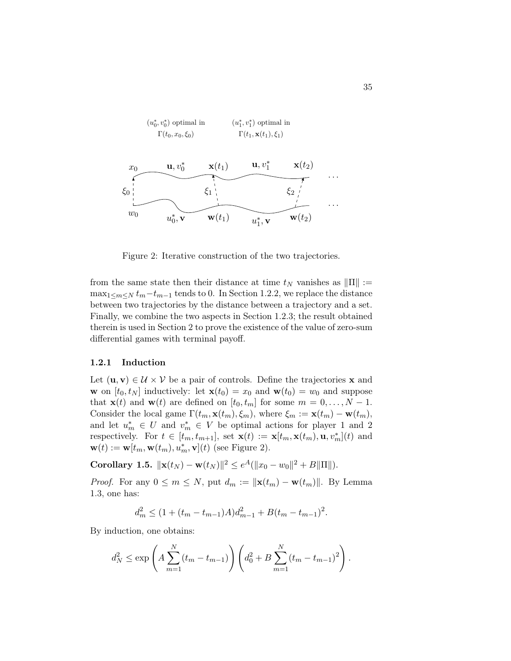

Figure 2: Iterative construction of the two trajectories.

from the same state then their distance at time  $t_N$  vanishes as  $\|\Pi\| :=$  $\max_{1 \leq m \leq N} t_m - t_{m-1}$  tends to 0. In Section 1.2.2, we replace the distance between two trajectories by the distance between a trajectory and a set. Finally, we combine the two aspects in Section 1.2.3; the result obtained therein is used in Section 2 to prove the existence of the value of zero-sum differential games with terminal payoff.

### 1.2.1 Induction

Let  $(\mathbf{u}, \mathbf{v}) \in \mathcal{U} \times \mathcal{V}$  be a pair of controls. Define the trajectories **x** and **w** on  $[t_0, t_N]$  inductively: let  $\mathbf{x}(t_0) = x_0$  and  $\mathbf{w}(t_0) = w_0$  and suppose that  $\mathbf{x}(t)$  and  $\mathbf{w}(t)$  are defined on  $[t_0, t_m]$  for some  $m = 0, \ldots, N - 1$ . Consider the local game  $\Gamma(t_m, \mathbf{x}(t_m), \xi_m)$ , where  $\xi_m := \mathbf{x}(t_m) - \mathbf{w}(t_m)$ , and let  $u_m^* \in U$  and  $v_m^* \in V$  be optimal actions for player 1 and 2 respectively. For  $t \in [t_m, t_{m+1}]$ , set  $\mathbf{x}(t) := \mathbf{x}[t_m, \mathbf{x}(t_m), \mathbf{u}, v_m^*](t)$  and  $\mathbf{w}(t) := \mathbf{w}[t_m, \mathbf{w}(t_m), u_m^*, \mathbf{v}](t)$  (see Figure 2).

Corollary 1.5.  $\|\mathbf{x}(t_N) - \mathbf{w}(t_N)\|^2 \le e^A (\|x_0 - w_0\|^2 + B \|\Pi\|).$ 

*Proof.* For any  $0 \leq m \leq N$ , put  $d_m := ||\mathbf{x}(t_m) - \mathbf{w}(t_m)||$ . By Lemma 1.3, one has:

$$
d_m^2 \le (1 + (t_m - t_{m-1})A)d_{m-1}^2 + B(t_m - t_{m-1})^2.
$$

By induction, one obtains:

$$
d_N^2 \le \exp\left(A\sum_{m=1}^N(t_m - t_{m-1})\right)\left(d_0^2 + B\sum_{m=1}^N(t_m - t_{m-1})^2\right).
$$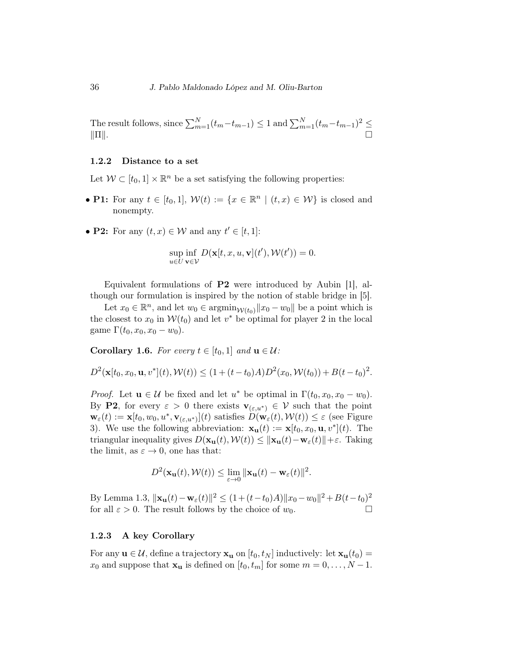The result follows, since  $\sum_{m=1}^{N} (t_m - t_{m-1}) \leq 1$  and  $\sum_{m=1}^{N} (t_m - t_{m-1})^2 \leq$  $\|\Pi\|.$ 

### 1.2.2 Distance to a set

Let  $W \subset [t_0, 1] \times \mathbb{R}^n$  be a set satisfying the following properties:

- P1: For any  $t \in [t_0, 1], W(t) := \{x \in \mathbb{R}^n \mid (t, x) \in W\}$  is closed and nonempty.
- **P2:** For any  $(t, x) \in \mathcal{W}$  and any  $t' \in [t, 1]$ :

$$
\sup_{u \in U} \inf_{\mathbf{v} \in \mathcal{V}} D(\mathbf{x}[t, x, u, \mathbf{v}](t'), \mathcal{W}(t')) = 0.
$$

Equivalent formulations of P2 were introduced by Aubin [1], although our formulation is inspired by the notion of stable bridge in [5].

Let  $x_0 \in \mathbb{R}^n$ , and let  $w_0 \in \operatorname{argmin}_{\mathcal{W}(t_0)} ||x_0 - w_0||$  be a point which is the closest to  $x_0$  in  $W(t_0)$  and let  $v^*$  be optimal for player 2 in the local game  $\Gamma(t_0, x_0, x_0 - w_0)$ .

Corollary 1.6. For every  $t \in [t_0, 1]$  and  $\mathbf{u} \in \mathcal{U}$ :

$$
D^{2}(\mathbf{x}[t_0, x_0, \mathbf{u}, v^*](t), \mathcal{W}(t)) \leq (1 + (t - t_0)A)D^{2}(x_0, \mathcal{W}(t_0)) + B(t - t_0)^{2}.
$$

*Proof.* Let  $u \in \mathcal{U}$  be fixed and let  $u^*$  be optimal in  $\Gamma(t_0, x_0, x_0 - w_0)$ . By P2, for every  $\varepsilon > 0$  there exists  $\mathbf{v}_{(\varepsilon, u^*)} \in \mathcal{V}$  such that the point  $\mathbf{w}_{\varepsilon}(t) := \mathbf{x}[t_0, w_0, u^*, \mathbf{v}_{(\varepsilon, u^*)}](t)$  satisfies  $D(\mathbf{w}_{\varepsilon}(t), \mathcal{W}(t)) \leq \varepsilon$  (see Figure 3). We use the following abbreviation:  $\mathbf{x}_{\mathbf{u}}(t) := \mathbf{x}[t_0, x_0, \mathbf{u}, v^*](t)$ . The triangular inequality gives  $D(\mathbf{x}_u(t), \mathcal{W}(t)) \leq ||\mathbf{x}_u(t)-\mathbf{w}_{\varepsilon}(t)||+\varepsilon$ . Taking the limit, as  $\varepsilon \to 0$ , one has that:

$$
D^{2}(\mathbf{x}_{\mathbf{u}}(t), \mathcal{W}(t)) \leq \lim_{\varepsilon \to 0} \|\mathbf{x}_{\mathbf{u}}(t) - \mathbf{w}_{\varepsilon}(t)\|^{2}.
$$

By Lemma 1.3,  $||\mathbf{x}_{\mathbf{u}}(t) - \mathbf{w}_{\varepsilon}(t)||^2 \le (1 + (t - t_0)A) ||x_0 - w_0||^2 + B(t - t_0)^2$ for all  $\varepsilon > 0$ . The result follows by the choice of  $w_0$ .

#### 1.2.3 A key Corollary

For any  $\mathbf{u} \in \mathcal{U}$ , define a trajectory  $\mathbf{x}_{\mathbf{u}}$  on  $[t_0, t_N]$  inductively: let  $\mathbf{x}_{\mathbf{u}}(t_0) =$  $x_0$  and suppose that  $\mathbf{x}_u$  is defined on  $[t_0, t_m]$  for some  $m = 0, \ldots, N - 1$ .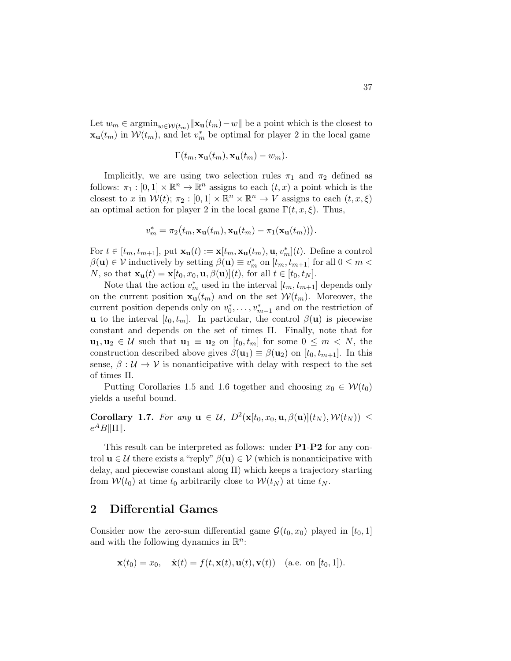Let  $w_m \in \operatorname{argmin}_{w \in \mathcal{W}(t_m)} ||\mathbf{x}_{\mathbf{u}}(t_m) - w||$  be a point which is the closest to  $\mathbf{x}_{\mathbf{u}}(t_m)$  in  $\mathcal{W}(t_m)$ , and let  $v_m^*$  be optimal for player 2 in the local game

$$
\Gamma(t_m, \mathbf{x_u}(t_m), \mathbf{x_u}(t_m) - w_m).
$$

Implicitly, we are using two selection rules  $\pi_1$  and  $\pi_2$  defined as follows:  $\pi_1 : [0,1] \times \mathbb{R}^n \to \mathbb{R}^n$  assigns to each  $(t, x)$  a point which is the closest to x in  $\mathcal{W}(t)$ ;  $\pi_2 : [0,1] \times \mathbb{R}^n \times \mathbb{R}^n \to V$  assigns to each  $(t, x, \xi)$ an optimal action for player 2 in the local game  $\Gamma(t, x, \xi)$ . Thus,

$$
v_m^* = \pi_2(t_m, \mathbf{x_u}(t_m), \mathbf{x_u}(t_m) - \pi_1(\mathbf{x_u}(t_m))).
$$

For  $t \in [t_m, t_{m+1}]$ , put  $\mathbf{x}_{\mathbf{u}}(t) := \mathbf{x}[t_m, \mathbf{x}_{\mathbf{u}}(t_m), \mathbf{u}, v_m^*](t)$ . Define a control  $\beta(\mathbf{u}) \in \mathcal{V}$  inductively by setting  $\beta(\mathbf{u}) \equiv v_m^*$  on  $[t_m, t_{m+1}]$  for all  $0 \le m <$ N, so that  $\mathbf{x}_\mathbf{u}(t) = \mathbf{x}[t_0, x_0, \mathbf{u}, \beta(\mathbf{u})](t)$ , for all  $t \in [t_0, t_N]$ .

Note that the action  $v_m^*$  used in the interval  $[t_m, t_{m+1}]$  depends only on the current position  $\mathbf{x}_{\mathbf{u}}(t_m)$  and on the set  $\mathcal{W}(t_m)$ . Moreover, the current position depends only on  $v_0^*, \ldots, v_{m-1}^*$  and on the restriction of **u** to the interval  $[t_0, t_m]$ . In particular, the control  $\beta(\mathbf{u})$  is piecewise constant and depends on the set of times Π. Finally, note that for  $u_1, u_2 \in \mathcal{U}$  such that  $u_1 \equiv u_2$  on  $[t_0, t_m]$  for some  $0 \leq m \leq N$ , the construction described above gives  $\beta(\mathbf{u}_1) \equiv \beta(\mathbf{u}_2)$  on  $[t_0, t_{m+1}]$ . In this sense,  $\beta : \mathcal{U} \to \mathcal{V}$  is nonanticipative with delay with respect to the set of times Π.

Putting Corollaries 1.5 and 1.6 together and choosing  $x_0 \in \mathcal{W}(t_0)$ yields a useful bound.

Corollary 1.7. For any  $\mathbf{u} \in \mathcal{U}$ ,  $D^2(\mathbf{x}[t_0, x_0, \mathbf{u}, \beta(\mathbf{u})](t_N), \mathcal{W}(t_N)) \leq$  $e^A B \|\Pi\|.$ 

This result can be interpreted as follows: under P1-P2 for any control  $\mathbf{u} \in \mathcal{U}$  there exists a "reply"  $\beta(\mathbf{u}) \in \mathcal{V}$  (which is nonanticipative with delay, and piecewise constant along  $\Pi$ ) which keeps a trajectory starting from  $W(t_0)$  at time  $t_0$  arbitrarily close to  $W(t_N)$  at time  $t_N$ .

### 2 Differential Games

Consider now the zero-sum differential game  $\mathcal{G}(t_0, x_0)$  played in  $[t_0, 1]$ and with the following dynamics in  $\mathbb{R}^n$ :

$$
\mathbf{x}(t_0) = x_0, \quad \dot{\mathbf{x}}(t) = f(t, \mathbf{x}(t), \mathbf{u}(t), \mathbf{v}(t))
$$
 (a.e. on  $[t_0, 1]$ ).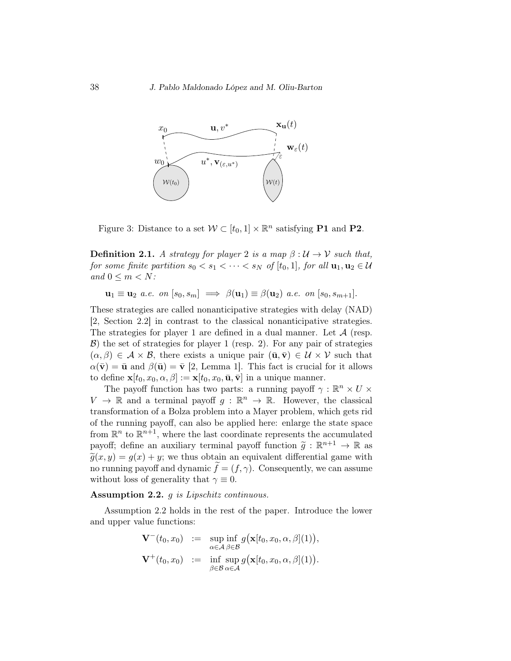

Figure 3: Distance to a set  $W \subset [t_0, 1] \times \mathbb{R}^n$  satisfying **P1** and **P2**.

**Definition 2.1.** A strategy for player 2 is a map  $\beta : \mathcal{U} \to \mathcal{V}$  such that, for some finite partition  $s_0 < s_1 < \cdots < s_N$  of  $[t_0, 1]$ , for all  $\mathbf{u}_1, \mathbf{u}_2 \in \mathcal{U}$ and  $0 \leq m \leq N$ :

 $\mathbf{u}_1 \equiv \mathbf{u}_2$  a.e. on  $[s_0, s_m] \implies \beta(\mathbf{u}_1) \equiv \beta(\mathbf{u}_2)$  a.e. on  $[s_0, s_{m+1}]$ .

These strategies are called nonanticipative strategies with delay (NAD) [2, Section 2.2] in contrast to the classical nonanticipative strategies. The strategies for player 1 are defined in a dual manner. Let  $A$  (resp.  $\mathcal{B}$ ) the set of strategies for player 1 (resp. 2). For any pair of strategies  $(\alpha, \beta) \in \mathcal{A} \times \mathcal{B}$ , there exists a unique pair  $(\bar{\mathbf{u}}, \bar{\mathbf{v}}) \in \mathcal{U} \times \mathcal{V}$  such that  $\alpha(\bar{\mathbf{v}}) = \bar{\mathbf{u}}$  and  $\beta(\bar{\mathbf{u}}) = \bar{\mathbf{v}}$  [2, Lemma 1]. This fact is crucial for it allows to define  $\mathbf{x}[t_0, x_0, \alpha, \beta] := \mathbf{x}[t_0, x_0, \bar{\mathbf{u}}, \bar{\mathbf{v}}]$  in a unique manner.

The payoff function has two parts: a running payoff  $\gamma : \mathbb{R}^n \times U \times$  $V \to \mathbb{R}$  and a terminal payoff  $g : \mathbb{R}^n \to \mathbb{R}$ . However, the classical transformation of a Bolza problem into a Mayer problem, which gets rid of the running payoff, can also be applied here: enlarge the state space from  $\mathbb{R}^n$  to  $\mathbb{R}^{n+1}$ , where the last coordinate represents the accumulated payoff; define an auxiliary terminal payoff function  $\tilde{g}: \mathbb{R}^{n+1} \to \mathbb{R}$  as  $\tilde{g}(x, y) = g(x) + y$ ; we thus obtain an equivalent differential game with no running payoff and dynamic  $f = (f, \gamma)$ . Consequently, we can assume without loss of generality that  $\gamma \equiv 0$ .

### Assumption 2.2. *g is Lipschitz continuous.*

Assumption 2.2 holds in the rest of the paper. Introduce the lower and upper value functions:

$$
\mathbf{V}^-(t_0, x_0) := \sup_{\alpha \in \mathcal{A}} \inf_{\beta \in \mathcal{B}} g(\mathbf{x}[t_0, x_0, \alpha, \beta](1)),
$$
  

$$
\mathbf{V}^+(t_0, x_0) := \inf_{\beta \in \mathcal{B}} \sup_{\alpha \in \mathcal{A}} g(\mathbf{x}[t_0, x_0, \alpha, \beta](1)).
$$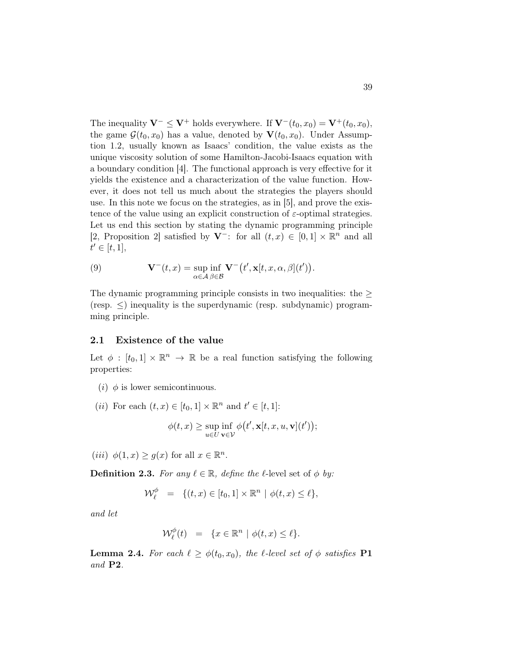The inequality  $\mathbf{V}^- \leq \mathbf{V}^+$  holds everywhere. If  $\mathbf{V}^-(t_0, x_0) = \mathbf{V}^+(t_0, x_0)$ , the game  $\mathcal{G}(t_0, x_0)$  has a value, denoted by  $\mathbf{V}(t_0, x_0)$ . Under Assumption 1.2, usually known as Isaacs' condition, the value exists as the unique viscosity solution of some Hamilton-Jacobi-Isaacs equation with a boundary condition [4]. The functional approach is very effective for it yields the existence and a characterization of the value function. However, it does not tell us much about the strategies the players should use. In this note we focus on the strategies, as in [5], and prove the existence of the value using an explicit construction of  $\varepsilon$ -optimal strategies. Let us end this section by stating the dynamic programming principle [2, Proposition 2] satisfied by  $V^-$ : for all  $(t, x) \in [0, 1] \times \mathbb{R}^n$  and all  $t' \in [t, 1],$ 

(9) 
$$
\mathbf{V}^-(t,x) = \sup_{\alpha \in \mathcal{A}} \inf_{\beta \in \mathcal{B}} \mathbf{V}^-(t', \mathbf{x}[t,x,\alpha,\beta](t')).
$$

The dynamic programming principle consists in two inequalities: the  $\geq$  $(resp. \leq)$  inequality is the superdynamic (resp. subdynamic) programming principle.

### 2.1 Existence of the value

Let  $\phi : [t_0, 1] \times \mathbb{R}^n \to \mathbb{R}$  be a real function satisfying the following properties:

- (*i*)  $\phi$  is lower semicontinuous.
- (*ii*) For each  $(t, x) \in [t_0, 1] \times \mathbb{R}^n$  and  $t' \in [t, 1]$ :

$$
\phi(t,x) \geq \sup_{u \in U} \inf_{\mathbf{v} \in \mathcal{V}} \phi(t', \mathbf{x}[t,x,u,\mathbf{v}](t')),
$$

(*iii*)  $\phi(1, x) \ge g(x)$  for all  $x \in \mathbb{R}^n$ .

**Definition 2.3.** For any  $\ell \in \mathbb{R}$ , define the  $\ell$ -level set of  $\phi$  by:

$$
\mathcal{W}^{\phi}_{\ell} = \{(t, x) \in [t_0, 1] \times \mathbb{R}^n \mid \phi(t, x) \leq \ell\},\
$$

and let

$$
\mathcal{W}_{\ell}^{\phi}(t) = \{x \in \mathbb{R}^n \mid \phi(t, x) \le \ell\}.
$$

**Lemma 2.4.** For each  $\ell \geq \phi(t_0, x_0)$ , the  $\ell$ -level set of  $\phi$  satisfies **P1** and P2.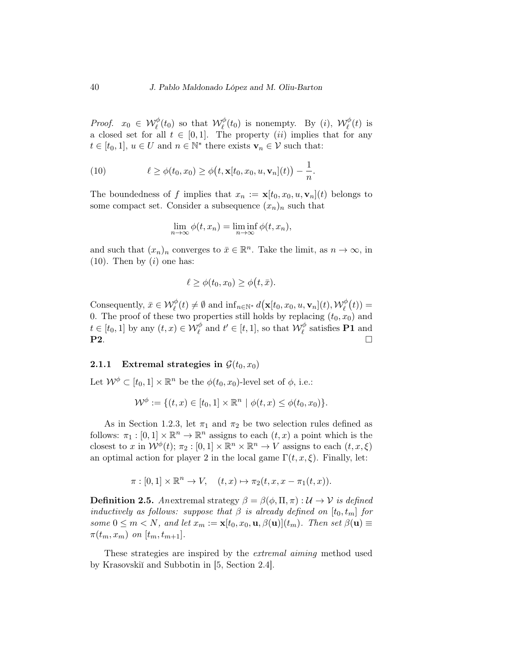*Proof.*  $x_0 \in \mathcal{W}_\ell^{\phi}(t_0)$  so that  $\mathcal{W}_\ell^{\phi}(t_0)$  is nonempty. By (i),  $\mathcal{W}_\ell^{\phi}(t)$  is a closed set for all  $t \in [0,1]$ . The property *(ii)* implies that for any  $t \in [t_0, 1], u \in U$  and  $n \in \mathbb{N}^*$  there exists  $\mathbf{v}_n \in \mathcal{V}$  such that:

(10) 
$$
\ell \geq \phi(t_0, x_0) \geq \phi\big(t, \mathbf{x}[t_0, x_0, u, \mathbf{v}_n](t)\big) - \frac{1}{n}
$$

The boundedness of f implies that  $x_n := \mathbf{x}[t_0, x_0, u, \mathbf{v}_n](t)$  belongs to some compact set. Consider a subsequence  $(x_n)_n$  such that

.

$$
\lim_{n \to \infty} \phi(t, x_n) = \liminf_{n \to \infty} \phi(t, x_n),
$$

and such that  $(x_n)_n$  converges to  $\bar{x} \in \mathbb{R}^n$ . Take the limit, as  $n \to \infty$ , in  $(10)$ . Then by  $(i)$  one has:

$$
\ell \geq \phi(t_0, x_0) \geq \phi(t, \bar{x}).
$$

Consequently,  $\bar{x} \in \mathcal{W}_{\ell}^{\phi}(t) \neq \emptyset$  and  $\inf_{n \in \mathbb{N}^*} d(\mathbf{x}[t_0, x_0, u, \mathbf{v}_n](t), \mathcal{W}_{\ell}^{\phi}(t)) =$ 0. The proof of these two properties still holds by replacing  $(t_0, x_0)$  and  $t \in [t_0, 1]$  by any  $(t, x) \in \mathcal{W}_{\ell}^{\phi}$  and  $t' \in [t, 1]$ , so that  $\mathcal{W}_{\ell}^{\phi}$  satisfies **P1** and  $P2.$ 

### 2.1.1 Extremal strategies in  $\mathcal{G}(t_0, x_0)$

Let  $\mathcal{W}^{\phi} \subset [t_0, 1] \times \mathbb{R}^n$  be the  $\phi(t_0, x_0)$ -level set of  $\phi$ , i.e.:

$$
\mathcal{W}^{\phi} := \{ (t, x) \in [t_0, 1] \times \mathbb{R}^n \mid \phi(t, x) \le \phi(t_0, x_0) \}.
$$

As in Section 1.2.3, let  $\pi_1$  and  $\pi_2$  be two selection rules defined as follows:  $\pi_1 : [0,1] \times \mathbb{R}^n \to \mathbb{R}^n$  assigns to each  $(t, x)$  a point which is the closest to x in  $\mathcal{W}^{\phi}(t)$ ;  $\pi_2 : [0,1] \times \mathbb{R}^n \times \mathbb{R}^n \to V$  assigns to each  $(t, x, \xi)$ an optimal action for player 2 in the local game  $\Gamma(t, x, \xi)$ . Finally, let:

$$
\pi : [0,1] \times \mathbb{R}^n \to V, \quad (t,x) \mapsto \pi_2(t,x,x-\pi_1(t,x)).
$$

**Definition 2.5.** Anextremal strategy  $\beta = \beta(\phi, \Pi, \pi) : \mathcal{U} \to \mathcal{V}$  is defined inductively as follows: suppose that  $\beta$  is already defined on  $[t_0, t_m]$  for some  $0 \leq m < N$ , and let  $x_m := \mathbf{x}[t_0, x_0, \mathbf{u}, \beta(\mathbf{u})](t_m)$ . Then set  $\beta(\mathbf{u}) \equiv$  $\pi(t_m, x_m)$  on  $[t_m, t_{m+1}].$ 

These strategies are inspired by the extremal aiming method used by Krasovskiĭ and Subbotin in [5, Section 2.4].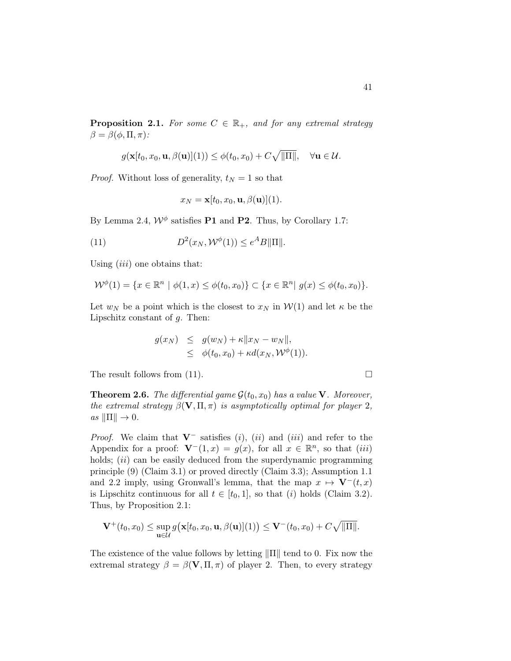**Proposition 2.1.** For some  $C \in \mathbb{R}_+$ , and for any extremal strategy  $\beta = \beta(\phi, \Pi, \pi)$ :

$$
g(\mathbf{x}[t_0, x_0, \mathbf{u}, \beta(\mathbf{u})](1)) \leq \phi(t_0, x_0) + C\sqrt{\|\Pi\|}, \quad \forall \mathbf{u} \in \mathcal{U}.
$$

*Proof.* Without loss of generality,  $t_N = 1$  so that

$$
x_N = \mathbf{x}[t_0, x_0, \mathbf{u}, \beta(\mathbf{u})](1).
$$

By Lemma 2.4,  $\mathcal{W}^{\phi}$  satisfies **P1** and **P2**. Thus, by Corollary 1.7:

(11) 
$$
D^2(x_N, \mathcal{W}^{\phi}(1)) \leq e^A B \|\Pi\|.
$$

Using  $(iii)$  one obtains that:

$$
\mathcal{W}^{\phi}(1) = \{ x \in \mathbb{R}^n \mid \phi(1, x) \le \phi(t_0, x_0) \} \subset \{ x \in \mathbb{R}^n \mid g(x) \le \phi(t_0, x_0) \}.
$$

Let  $w_N$  be a point which is the closest to  $x_N$  in  $W(1)$  and let  $\kappa$  be the Lipschitz constant of  $q$ . Then:

$$
g(x_N) \leq g(w_N) + \kappa ||x_N - w_N||,
$$
  
\n
$$
\leq \phi(t_0, x_0) + \kappa d(x_N, \mathcal{W}^{\phi}(1)).
$$

The result follows from (11).  $\Box$ 

**Theorem 2.6.** The differential game  $\mathcal{G}(t_0, x_0)$  has a value **V**. Moreover, the extremal strategy  $\beta(\mathbf{V}, \Pi, \pi)$  is asymptotically optimal for player 2,  $as \|\Pi\| \to 0.$ 

*Proof.* We claim that  $V^-$  satisfies (i), (ii) and (iii) and refer to the Appendix for a proof:  $\mathbf{V}^-(1,x) = g(x)$ , for all  $x \in \mathbb{R}^n$ , so that  $(iii)$ holds;  $(ii)$  can be easily deduced from the superdynamic programming principle (9) (Claim 3.1) or proved directly (Claim 3.3); Assumption 1.1 and 2.2 imply, using Gronwall's lemma, that the map  $x \mapsto \mathbf{V}^-(t, x)$ is Lipschitz continuous for all  $t \in [t_0, 1]$ , so that (i) holds (Claim 3.2). Thus, by Proposition 2.1:

$$
\mathbf{V}^+(t_0,x_0) \leq \sup_{\mathbf{u}\in\mathcal{U}} g\big(\mathbf{x}[t_0,x_0,\mathbf{u},\beta(\mathbf{u})](1)\big) \leq \mathbf{V}^-(t_0,x_0) + C\sqrt{\|\Pi\|}.
$$

The existence of the value follows by letting  $\|\Pi\|$  tend to 0. Fix now the extremal strategy  $\beta = \beta(\mathbf{V}, \Pi, \pi)$  of player 2. Then, to every strategy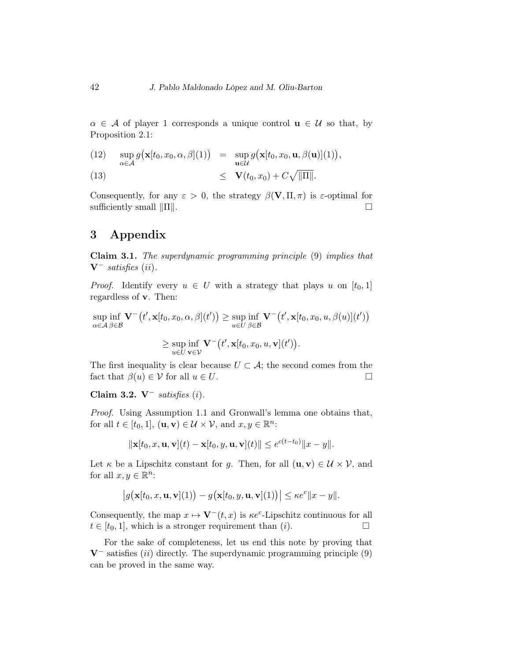$\alpha \in \mathcal{A}$  of player 1 corresponds a unique control  $\mathbf{u} \in \mathcal{U}$  so that, by Proposition 2.1:

(12) 
$$
\sup_{\alpha \in \mathcal{A}} g\big(\mathbf{x}[t_0, x_0, \alpha, \beta](1)\big) = \sup_{\mathbf{u} \in \mathcal{U}} g\big(\mathbf{x}[t_0, x_0, \mathbf{u}, \beta(\mathbf{u})](1)\big),
$$
  
(13) 
$$
\leq \mathbf{V}(t_0, x_0) + C\sqrt{\|\Pi\|}.
$$

Consequently, for any  $\varepsilon > 0$ , the strategy  $\beta(\mathbf{V}, \Pi, \pi)$  is  $\varepsilon$ -optimal for sufficiently small  $\|\Pi\|$ .

## 3 Appendix

Claim 3.1. The superdynamic programming principle (9) implies that  $V^-$  satisfies (ii).

*Proof.* Identify every  $u \in U$  with a strategy that plays u on  $[t_0, 1]$ regardless of v. Then:

sup  $\alpha \in \mathcal{A}$ inf β∈B  $\mathbf{V}^-(t',\mathbf{x}[t_0,x_0,\alpha,\beta](t')) \geq \sup$  $u \in U$ inf β∈B  ${\bf V}^-\big(t',{\bf x}[t_0,x_0,u,\beta(u)](t')\big)$ 

$$
\geq \sup_{u\in U} \inf_{\mathbf{v}\in \mathcal{V}} \mathbf{V}^-(t', \mathbf{x}[t_0, x_0, u, \mathbf{v}](t')).
$$

The first inequality is clear because  $U \subset \mathcal{A}$ ; the second comes from the fact that  $\beta(u) \in \mathcal{V}$  for all  $u \in U$ .

Claim 3.2. V<sup>-</sup> satisfies  $(i)$ .

Proof. Using Assumption 1.1 and Gronwall's lemma one obtains that, for all  $t \in [t_0, 1]$ ,  $(\mathbf{u}, \mathbf{v}) \in \mathcal{U} \times \mathcal{V}$ , and  $x, y \in \mathbb{R}^n$ :

$$
\|\mathbf{x}[t_0, x, \mathbf{u}, \mathbf{v}](t) - \mathbf{x}[t_0, y, \mathbf{u}, \mathbf{v}](t)\| \le e^{c(t-t_0)} \|x - y\|.
$$

Let  $\kappa$  be a Lipschitz constant for g. Then, for all  $(\mathbf{u}, \mathbf{v}) \in \mathcal{U} \times \mathcal{V}$ , and for all  $x, y \in \mathbb{R}^n$ :

$$
\big|g\big(\mathbf{x}[t_0,x,\mathbf{u},\mathbf{v}](1)\big)-g\big(\mathbf{x}[t_0,y,\mathbf{u},\mathbf{v}](1)\big)\big|\leq \kappa e^c\|x-y\|.
$$

Consequently, the map  $x \mapsto \mathbf{V}^-(t, x)$  is  $\kappa e^c$ -Lipschitz continuous for all  $t \in [t_0, 1]$ , which is a stronger requirement than  $(i)$ .

For the sake of completeness, let us end this note by proving that  $V^-$  satisfies (ii) directly. The superdynamic programming principle (9) can be proved in the same way.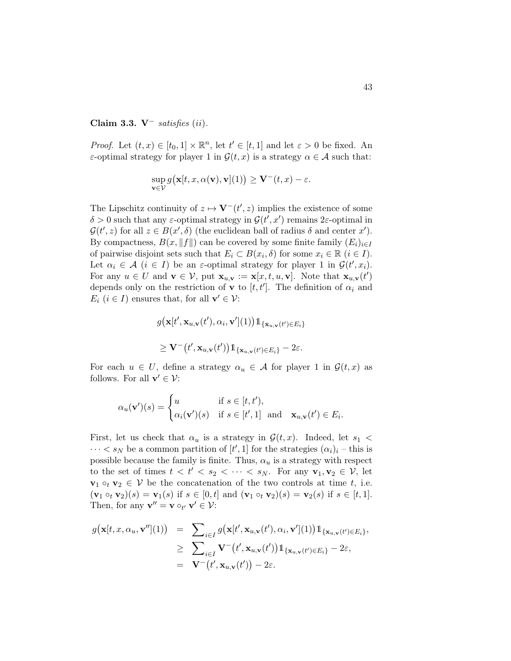### Claim 3.3. V<sup>-</sup> satisfies  $(ii)$ .

*Proof.* Let  $(t, x) \in [t_0, 1] \times \mathbb{R}^n$ , let  $t' \in [t, 1]$  and let  $\varepsilon > 0$  be fixed. An ε-optimal strategy for player 1 in  $\mathcal{G}(t,x)$  is a strategy  $\alpha \in \mathcal{A}$  such that:

$$
\sup_{\mathbf{v}\in\mathcal{V}} g\big(\mathbf{x}[t,x,\alpha(\mathbf{v}),\mathbf{v}](1)\big) \geq \mathbf{V}^-(t,x)-\varepsilon.
$$

The Lipschitz continuity of  $z \mapsto \mathbf{V}^-(t',z)$  implies the existence of some  $\delta > 0$  such that any  $\varepsilon$ -optimal strategy in  $\mathcal{G}(t', x')$  remains 2 $\varepsilon$ -optimal in  $\mathcal{G}(t',z)$  for all  $z \in B(x',\delta)$  (the euclidean ball of radius  $\delta$  and center  $x'$ ). By compactness,  $B(x, \|f\|)$  can be covered by some finite family  $(E_i)_{i\in I}$ of pairwise disjoint sets such that  $E_i \subset B(x_i, \delta)$  for some  $x_i \in \mathbb{R}$   $(i \in I)$ . Let  $\alpha_i \in \mathcal{A}$   $(i \in I)$  be an  $\varepsilon$ -optimal strategy for player 1 in  $\mathcal{G}(t', x_i)$ . For any  $u \in U$  and  $\mathbf{v} \in \mathcal{V}$ , put  $\mathbf{x}_{u,\mathbf{v}} := \mathbf{x}[x,t,u,\mathbf{v}]$ . Note that  $\mathbf{x}_{u,\mathbf{v}}(t')$ depends only on the restriction of **v** to  $[t, t']$ . The definition of  $\alpha_i$  and  $E_i$   $(i \in I)$  ensures that, for all  $\mathbf{v}' \in \mathcal{V}$ :

$$
g\big(\mathbf{x}[t', \mathbf{x}_{u, \mathbf{v}}(t'), \alpha_i, \mathbf{v}'](1)\big)1_{\{\mathbf{x}_{u, \mathbf{v}}(t') \in E_i\}}
$$
  

$$
\geq \mathbf{V}^{-}\big(t', \mathbf{x}_{u, \mathbf{v}}(t')\big)1_{\{\mathbf{x}_{u, \mathbf{v}}(t') \in E_i\}} - 2\varepsilon.
$$

For each  $u \in U$ , define a strategy  $\alpha_u \in \mathcal{A}$  for player 1 in  $\mathcal{G}(t,x)$  as follows. For all  $\mathbf{v}' \in \mathcal{V}$ :

$$
\alpha_u(\mathbf{v}')(s) = \begin{cases} u & \text{if } s \in [t, t'), \\ \alpha_i(\mathbf{v}')(s) & \text{if } s \in [t', 1] \text{ and } \mathbf{x}_{u, \mathbf{v}}(t') \in E_i. \end{cases}
$$

First, let us check that  $\alpha_u$  is a strategy in  $\mathcal{G}(t,x)$ . Indeed, let  $s_1$  <  $\cdots < s_N$  be a common partition of  $[t', 1]$  for the strategies  $(\alpha_i)_i$  – this is possible because the family is finite. Thus,  $\alpha_u$  is a strategy with respect to the set of times  $t < t' < s_2 < \cdots < s_N$ . For any  $\mathbf{v}_1, \mathbf{v}_2 \in \mathcal{V}$ , let  $\mathbf{v}_1 \circ_t \mathbf{v}_2 \in \mathcal{V}$  be the concatenation of the two controls at time t, i.e.  $(\mathbf{v}_1 \circ_t \mathbf{v}_2)(s) = \mathbf{v}_1(s)$  if  $s \in [0, t]$  and  $(\mathbf{v}_1 \circ_t \mathbf{v}_2)(s) = \mathbf{v}_2(s)$  if  $s \in [t, 1]$ . Then, for any  $\mathbf{v}'' = \mathbf{v} \circ_{t'} \mathbf{v}' \in \mathcal{V}$ :

$$
g(\mathbf{x}[t,x,\alpha_u,\mathbf{v}''](1)) = \sum_{i\in I} g(\mathbf{x}[t',\mathbf{x}_{u,\mathbf{v}}(t'),\alpha_i,\mathbf{v}'](1)) \mathbb{1}_{\{\mathbf{x}_{u,\mathbf{v}}(t')\in E_i\}},
$$
  
\n
$$
\geq \sum_{i\in I} \mathbf{V}^-(t',\mathbf{x}_{u,\mathbf{v}}(t')) \mathbb{1}_{\{\mathbf{x}_{u,\mathbf{v}}(t')\in E_i\}} - 2\varepsilon,
$$
  
\n
$$
= \mathbf{V}^-(t',\mathbf{x}_{u,\mathbf{v}}(t')) - 2\varepsilon.
$$